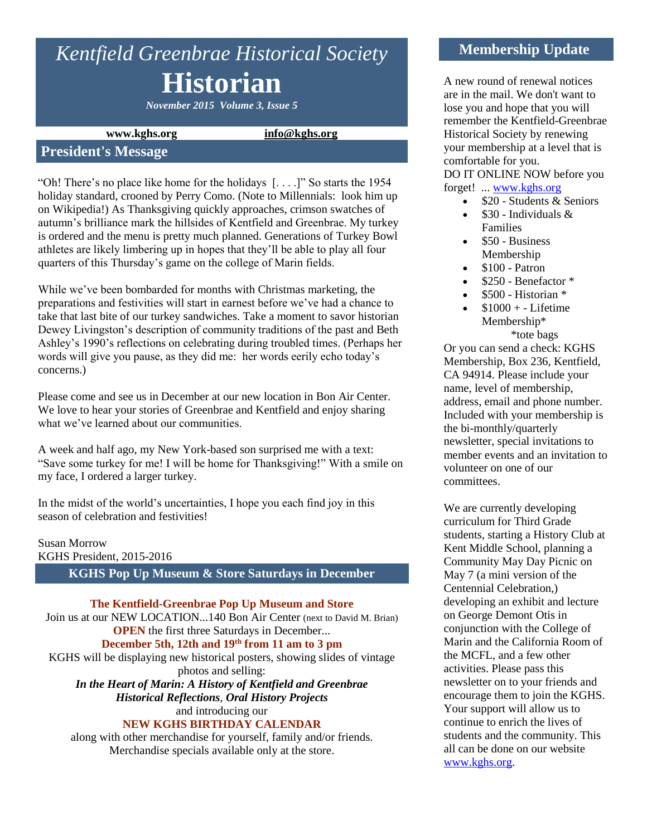# *Kentfield Greenbrae Historical Society* **Historian**

*November 2015 Volume 3, Issue 5*

### **www.kghs.org [info@kghs.org](mailto:info@kghs.org)**

## **President's Message**

"Oh! There's no place like home for the holidays [. . . .]" So starts the 1954 holiday standard, crooned by Perry Como. (Note to Millennials: look him up on Wikipedia!) As Thanksgiving quickly approaches, crimson swatches of autumn's brilliance mark the hillsides of Kentfield and Greenbrae. My turkey is ordered and the menu is pretty much planned. Generations of Turkey Bowl athletes are likely limbering up in hopes that they'll be able to play all four quarters of this Thursday's game on the college of Marin fields.

While we've been bombarded for months with Christmas marketing, the preparations and festivities will start in earnest before we've had a chance to take that last bite of our turkey sandwiches. Take a moment to savor historian Dewey Livingston's description of community traditions of the past and Beth Ashley's 1990's reflections on celebrating during troubled times. (Perhaps her words will give you pause, as they did me: her words eerily echo today's concerns.)

Please come and see us in December at our new location in Bon Air Center. We love to hear your stories of Greenbrae and Kentfield and enjoy sharing what we've learned about our communities.

A week and half ago, my New York-based son surprised me with a text: "Save some turkey for me! I will be home for Thanksgiving!" With a smile on my face, I ordered a larger turkey.

In the midst of the world's uncertainties, I hope you each find joy in this season of celebration and festivities!

#### Susan Morrow KGHS President, 2015-2016

**KGHS Pop Up Museum & Store Saturdays in December**

**The Kentfield-Greenbrae Pop Up Museum and Store** Join us at our NEW LOCATION...140 Bon Air Center (next to David M. Brian) **OPEN** the first three Saturdays in December...

**December 5th, 12th and 19th from 11 am to 3 pm**

KGHS will be displaying new historical posters, showing slides of vintage photos and selling:

*In the Heart of Marin: A History of Kentfield and Greenbrae Historical Reflections*, *Oral History Projects* and introducing our

## **NEW KGHS BIRTHDAY CALENDAR**

along with other merchandise for yourself, family and/or friends. Merchandise specials available only at the store.

## **Membership Update**

A new round of renewal notices are in the mail. We don't want to lose you and hope that you will remember the Kentfield-Greenbrae Historical Society by renewing your membership at a level that is comfortable for you.

DO IT ONLINE NOW before you forget! ... [www.kghs.org](http://www.kghs.org/) 

- $\bullet$  \$20 Students & Seniors
- \$30 Individuals & Families
- $\bullet$  \$50 Business Membership
- $\bullet$  \$100 Patron
- \$250 Benefactor \*
- \$500 Historian \*
- \$1000 + Lifetime Membership\* \*tote bags

Or you can send a check: KGHS Membership, Box 236, Kentfield, CA 94914. Please include your name, level of membership, address, email and phone number. Included with your membership is the bi-monthly/quarterly newsletter, special invitations to member events and an invitation to volunteer on one of our committees.

We are currently developing curriculum for Third Grade students, starting a History Club at Kent Middle School, planning a Community May Day Picnic on May 7 (a mini version of the Centennial Celebration,) developing an exhibit and lecture on George Demont Otis in conjunction with the College of Marin and the California Room of the MCFL, and a few other activities. Please pass this newsletter on to your friends and encourage them to join the KGHS. Your support will allow us to continue to enrich the lives of students and the community. This all can be done on our website [www.kghs.org.](http://www.kghs.org/)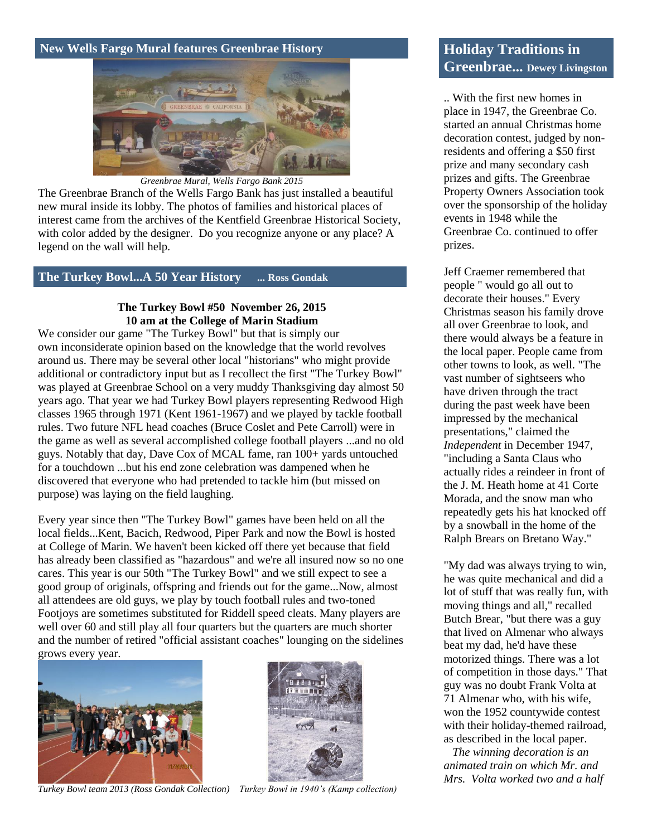#### **New Wells Fargo Mural features Greenbrae History**



*Greenbrae Mural, Wells Fargo Bank 2015*

The Greenbrae Branch of the Wells Fargo Bank has just installed a beautiful new mural inside its lobby. The photos of families and historical places of interest came from the archives of the Kentfield Greenbrae Historical Society, with color added by the designer. Do you recognize anyone or any place? A legend on the wall will help.

#### **The Turkey Bowl...A 50 Year History ... Ross Gondak**

#### **The Turkey Bowl #50 November 26, 2015 10 am at the College of Marin Stadium**

We consider our game "The Turkey Bowl" but that is simply our own inconsiderate opinion based on the knowledge that the world revolves around us. There may be several other local "historians" who might provide additional or contradictory input but as I recollect the first "The Turkey Bowl" was played at Greenbrae School on a very muddy Thanksgiving day almost 50 years ago. That year we had Turkey Bowl players representing Redwood High classes 1965 through 1971 (Kent 1961-1967) and we played by tackle football rules. Two future NFL head coaches (Bruce Coslet and Pete Carroll) were in the game as well as several accomplished college football players ...and no old guys. Notably that day, Dave Cox of MCAL fame, ran 100+ yards untouched for a touchdown ...but his end zone celebration was dampened when he discovered that everyone who had pretended to tackle him (but missed on purpose) was laying on the field laughing.

Every year since then "The Turkey Bowl" games have been held on all the local fields...Kent, Bacich, Redwood, Piper Park and now the Bowl is hosted at College of Marin. We haven't been kicked off there yet because that field has already been classified as "hazardous" and we're all insured now so no one cares. This year is our 50th "The Turkey Bowl" and we still expect to see a good group of originals, offspring and friends out for the game...Now, almost all attendees are old guys, we play by touch football rules and two-toned Footjoys are sometimes substituted for Riddell speed cleats. Many players are well over 60 and still play all four quarters but the quarters are much shorter and the number of retired "official assistant coaches" lounging on the sidelines grows every year.





*Turkey Bowl team 2013 (Ross Gondak Collection) Turkey Bowl in 1940's (Kamp collection)*

# **Holiday Traditions in Greenbrae... Dewey Livingston**

.. With the first new homes in place in 1947, the Greenbrae Co. started an annual Christmas home decoration contest, judged by nonresidents and offering a \$50 first prize and many secondary cash prizes and gifts. The Greenbrae Property Owners Association took over the sponsorship of the holiday events in 1948 while the Greenbrae Co. continued to offer prizes.

Jeff Craemer remembered that people " would go all out to decorate their houses." Every Christmas season his family drove all over Greenbrae to look, and there would always be a feature in the local paper. People came from other towns to look, as well. "The vast number of sightseers who have driven through the tract during the past week have been impressed by the mechanical presentations," claimed the *Independent* in December 1947, "including a Santa Claus who actually rides a reindeer in front of the J. M. Heath home at 41 Corte Morada, and the snow man who repeatedly gets his hat knocked off by a snowball in the home of the Ralph Brears on Bretano Way."

"My dad was always trying to win, he was quite mechanical and did a lot of stuff that was really fun, with moving things and all," recalled Butch Brear, "but there was a guy that lived on Almenar who always beat my dad, he'd have these motorized things. There was a lot of competition in those days." That guy was no doubt Frank Volta at 71 Almenar who, with his wife, won the 1952 countywide contest with their holiday-themed railroad, as described in the local paper.

 *The winning decoration is an animated train on which Mr. and Mrs. Volta worked two and a half*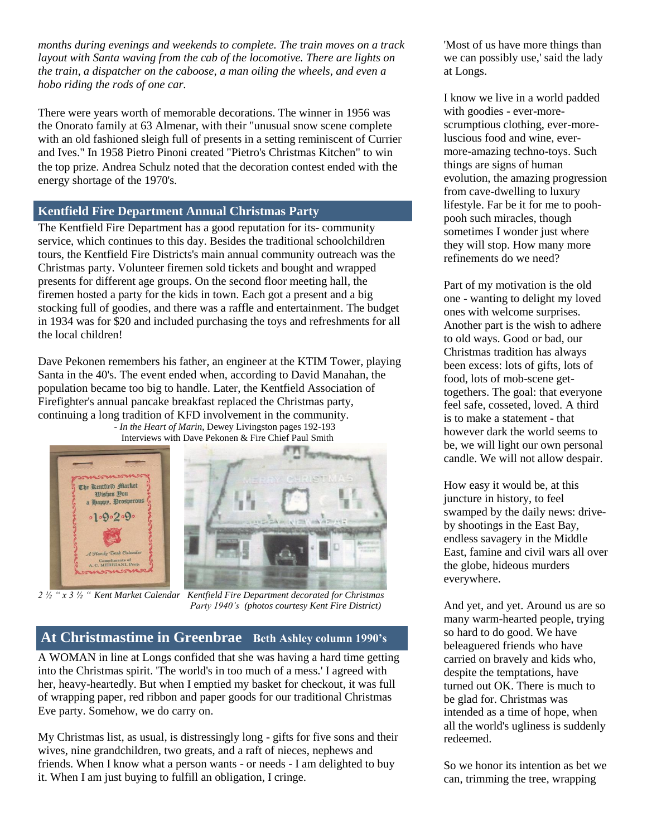*months during evenings and weekends to complete. The train moves on a track layout with Santa waving from the cab of the locomotive. There are lights on the train, a dispatcher on the caboose, a man oiling the wheels, and even a hobo riding the rods of one car.*

There were years worth of memorable decorations. The winner in 1956 was the Onorato family at 63 Almenar, with their "unusual snow scene complete with an old fashioned sleigh full of presents in a setting reminiscent of Currier and Ives." In 1958 Pietro Pinoni created "Pietro's Christmas Kitchen" to win the top prize. Andrea Schulz noted that the decoration contest ended with the energy shortage of the 1970's.

## **Kentfield Fire Department Annual Christmas Party**

The Kentfield Fire Department has a good reputation for its- community service, which continues to this day. Besides the traditional schoolchildren tours, the Kentfield Fire Districts's main annual community outreach was the Christmas party. Volunteer firemen sold tickets and bought and wrapped presents for different age groups. On the second floor meeting hall, the firemen hosted a party for the kids in town. Each got a present and a big stocking full of goodies, and there was a raffle and entertainment. The budget in 1934 was for \$20 and included purchasing the toys and refreshments for all the local children!

Dave Pekonen remembers his father, an engineer at the KTIM Tower, playing Santa in the 40's. The event ended when, according to David Manahan, the population became too big to handle. Later, the Kentfield Association of Firefighter's annual pancake breakfast replaced the Christmas party, continuing a long tradition of KFD involvement in the community. - *In the Heart of Marin*, Dewey Livingston pages 192-193 Interviews with Dave Pekonen & Fire Chief Paul Smith



 *2 ½ " x 3 ½ " Kent Market Calendar Kentfield Fire Department decorated for Christmas Party 1940's (photos courtesy Kent Fire District)*

# **At Christmastime in Greenbrae Beth Ashley column 1990's**

A WOMAN in line at Longs confided that she was having a hard time getting into the Christmas spirit. 'The world's in too much of a mess.' I agreed with her, heavy-heartedly. But when I emptied my basket for checkout, it was full of wrapping paper, red ribbon and paper goods for our traditional Christmas Eve party. Somehow, we do carry on.

My Christmas list, as usual, is distressingly long - gifts for five sons and their wives, nine grandchildren, two greats, and a raft of nieces, nephews and friends. When I know what a person wants - or needs - I am delighted to buy it. When I am just buying to fulfill an obligation, I cringe.

'Most of us have more things than we can possibly use,' said the lady at Longs.

I know we live in a world padded with goodies - ever-morescrumptious clothing, ever-moreluscious food and wine, evermore-amazing techno-toys. Such things are signs of human evolution, the amazing progression from cave-dwelling to luxury lifestyle. Far be it for me to poohpooh such miracles, though sometimes I wonder just where they will stop. How many more refinements do we need?

Part of my motivation is the old one - wanting to delight my loved ones with welcome surprises. Another part is the wish to adhere to old ways. Good or bad, our Christmas tradition has always been excess: lots of gifts, lots of food, lots of mob-scene gettogethers. The goal: that everyone feel safe, cosseted, loved. A third is to make a statement - that however dark the world seems to be, we will light our own personal candle. We will not allow despair.

How easy it would be, at this juncture in history, to feel swamped by the daily news: driveby shootings in the East Bay, endless savagery in the Middle East, famine and civil wars all over the globe, hideous murders everywhere.

And yet, and yet. Around us are so many warm-hearted people, trying so hard to do good. We have beleaguered friends who have carried on bravely and kids who, despite the temptations, have turned out OK. There is much to be glad for. Christmas was intended as a time of hope, when all the world's ugliness is suddenly redeemed.

So we honor its intention as bet we can, trimming the tree, wrapping